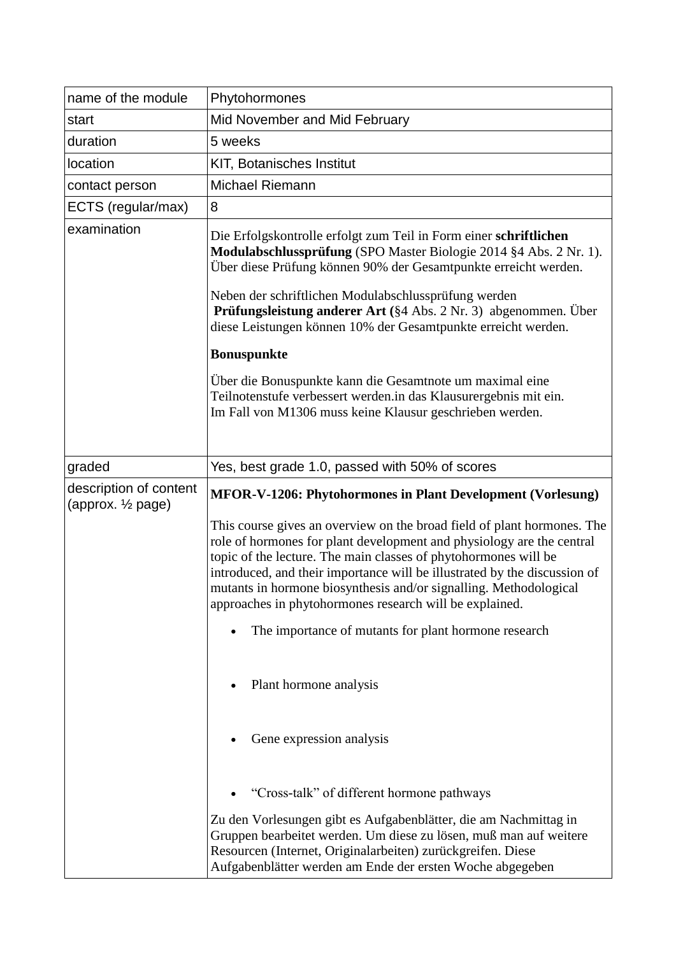| name of the module                                     | Phytohormones                                                                                                                                                                                                                                                                                                                                                                                                                    |
|--------------------------------------------------------|----------------------------------------------------------------------------------------------------------------------------------------------------------------------------------------------------------------------------------------------------------------------------------------------------------------------------------------------------------------------------------------------------------------------------------|
| start                                                  | Mid November and Mid February                                                                                                                                                                                                                                                                                                                                                                                                    |
| duration                                               | 5 weeks                                                                                                                                                                                                                                                                                                                                                                                                                          |
| location                                               | KIT, Botanisches Institut                                                                                                                                                                                                                                                                                                                                                                                                        |
| contact person                                         | <b>Michael Riemann</b>                                                                                                                                                                                                                                                                                                                                                                                                           |
| ECTS (regular/max)                                     | 8                                                                                                                                                                                                                                                                                                                                                                                                                                |
| examination                                            | Die Erfolgskontrolle erfolgt zum Teil in Form einer schriftlichen<br>Modulabschlussprüfung (SPO Master Biologie 2014 §4 Abs. 2 Nr. 1).<br>Über diese Prüfung können 90% der Gesamtpunkte erreicht werden.                                                                                                                                                                                                                        |
|                                                        | Neben der schriftlichen Modulabschlussprüfung werden<br><b>Prüfungsleistung anderer Art</b> (§4 Abs. 2 Nr. 3) abgenommen. Über<br>diese Leistungen können 10% der Gesamtpunkte erreicht werden.                                                                                                                                                                                                                                  |
|                                                        | <b>Bonuspunkte</b>                                                                                                                                                                                                                                                                                                                                                                                                               |
|                                                        | Über die Bonuspunkte kann die Gesamtnote um maximal eine<br>Teilnotenstufe verbessert werden.in das Klausurergebnis mit ein.<br>Im Fall von M1306 muss keine Klausur geschrieben werden.                                                                                                                                                                                                                                         |
| graded                                                 | Yes, best grade 1.0, passed with 50% of scores                                                                                                                                                                                                                                                                                                                                                                                   |
| description of content<br>(approx. $\frac{1}{2}$ page) | <b>MFOR-V-1206: Phytohormones in Plant Development (Vorlesung)</b>                                                                                                                                                                                                                                                                                                                                                               |
|                                                        | This course gives an overview on the broad field of plant hormones. The<br>role of hormones for plant development and physiology are the central<br>topic of the lecture. The main classes of phytohormones will be<br>introduced, and their importance will be illustrated by the discussion of<br>mutants in hormone biosynthesis and/or signalling. Methodological<br>approaches in phytohormones research will be explained. |
|                                                        | The importance of mutants for plant hormone research                                                                                                                                                                                                                                                                                                                                                                             |
|                                                        | Plant hormone analysis                                                                                                                                                                                                                                                                                                                                                                                                           |
|                                                        | Gene expression analysis                                                                                                                                                                                                                                                                                                                                                                                                         |
|                                                        | "Cross-talk" of different hormone pathways                                                                                                                                                                                                                                                                                                                                                                                       |
|                                                        | Zu den Vorlesungen gibt es Aufgabenblätter, die am Nachmittag in<br>Gruppen bearbeitet werden. Um diese zu lösen, muß man auf weitere<br>Resourcen (Internet, Originalarbeiten) zurückgreifen. Diese<br>Aufgabenblätter werden am Ende der ersten Woche abgegeben                                                                                                                                                                |